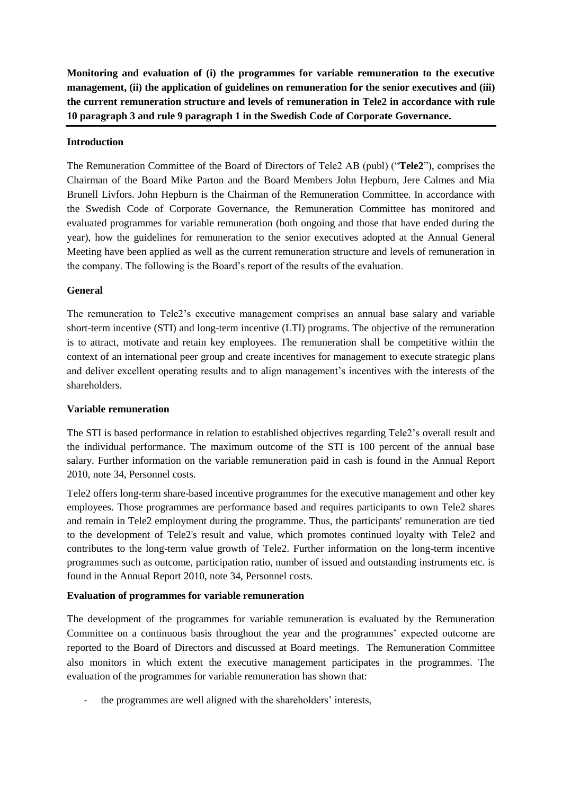**Monitoring and evaluation of (i) the programmes for variable remuneration to the executive management, (ii) the application of guidelines on remuneration for the senior executives and (iii) the current remuneration structure and levels of remuneration in Tele2 in accordance with rule 10 paragraph 3 and rule 9 paragraph 1 in the Swedish Code of Corporate Governance.**

### **Introduction**

The Remuneration Committee of the Board of Directors of Tele2 AB (publ) ("**Tele2**"), comprises the Chairman of the Board Mike Parton and the Board Members John Hepburn, Jere Calmes and Mia Brunell Livfors. John Hepburn is the Chairman of the Remuneration Committee. In accordance with the Swedish Code of Corporate Governance, the Remuneration Committee has monitored and evaluated programmes for variable remuneration (both ongoing and those that have ended during the year), how the guidelines for remuneration to the senior executives adopted at the Annual General Meeting have been applied as well as the current remuneration structure and levels of remuneration in the company. The following is the Board's report of the results of the evaluation.

# **General**

The remuneration to Tele2's executive management comprises an annual base salary and variable short-term incentive (STI) and long-term incentive (LTI) programs. The objective of the remuneration is to attract, motivate and retain key employees. The remuneration shall be competitive within the context of an international peer group and create incentives for management to execute strategic plans and deliver excellent operating results and to align management's incentives with the interests of the shareholders.

#### **Variable remuneration**

The STI is based performance in relation to established objectives regarding Tele2's overall result and the individual performance. The maximum outcome of the STI is 100 percent of the annual base salary. Further information on the variable remuneration paid in cash is found in the Annual Report 2010, note 34, Personnel costs.

Tele2 offers long-term share-based incentive programmes for the executive management and other key employees. Those programmes are performance based and requires participants to own Tele2 shares and remain in Tele2 employment during the programme. Thus, the participants' remuneration are tied to the development of Tele2's result and value, which promotes continued loyalty with Tele2 and contributes to the long-term value growth of Tele2. Further information on the long-term incentive programmes such as outcome, participation ratio, number of issued and outstanding instruments etc. is found in the Annual Report 2010, note 34, Personnel costs.

# **Evaluation of programmes for variable remuneration**

The development of the programmes for variable remuneration is evaluated by the Remuneration Committee on a continuous basis throughout the year and the programmes' expected outcome are reported to the Board of Directors and discussed at Board meetings. The Remuneration Committee also monitors in which extent the executive management participates in the programmes. The evaluation of the programmes for variable remuneration has shown that:

the programmes are well aligned with the shareholders' interests,